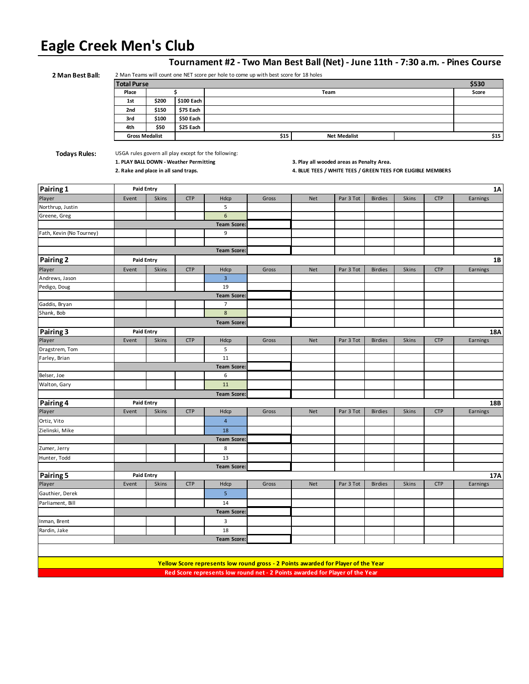# **Eagle Creek Men's Club**

| 2 Man Best Ball:         |                                                                                                             |              |                                        |                                                                                   |       |                                                                                                          |                     |                |              |            | Tournament #2 - Two Man Best Ball (Net) - June 11th - 7:30 a.m. - Pines Course |
|--------------------------|-------------------------------------------------------------------------------------------------------------|--------------|----------------------------------------|-----------------------------------------------------------------------------------|-------|----------------------------------------------------------------------------------------------------------|---------------------|----------------|--------------|------------|--------------------------------------------------------------------------------|
|                          | 2 Man Teams will count one NET score per hole to come up with best score for 18 holes<br><b>Total Purse</b> |              |                                        |                                                                                   |       |                                                                                                          |                     | \$530          |              |            |                                                                                |
|                          | Place                                                                                                       |              | \$                                     |                                                                                   |       | Team                                                                                                     |                     |                |              |            | Score                                                                          |
|                          | 1st                                                                                                         | \$200        | \$100 Each                             |                                                                                   |       |                                                                                                          |                     |                |              |            |                                                                                |
|                          | 2nd                                                                                                         | \$150        | \$75 Each                              |                                                                                   |       |                                                                                                          |                     |                |              |            |                                                                                |
|                          | 3rd                                                                                                         | \$100        | \$50 Each                              |                                                                                   |       |                                                                                                          |                     |                |              |            |                                                                                |
|                          | 4th                                                                                                         | \$50         | \$25 Each                              |                                                                                   |       |                                                                                                          |                     |                |              |            |                                                                                |
|                          | <b>Gross Medalist</b>                                                                                       |              |                                        |                                                                                   | \$15  |                                                                                                          | <b>Net Medalist</b> |                |              |            | \$15                                                                           |
|                          |                                                                                                             |              |                                        |                                                                                   |       |                                                                                                          |                     |                |              |            |                                                                                |
| <b>Todays Rules:</b>     | 2. Rake and place in all sand traps.                                                                        |              | 1. PLAY BALL DOWN - Weather Permitting | USGA rules govern all play except for the following:                              |       | 3. Play all wooded areas as Penalty Area.<br>4. BLUE TEES / WHITE TEES / GREEN TEES FOR ELIGIBLE MEMBERS |                     |                |              |            |                                                                                |
| Pairing 1                | <b>Paid Entry</b>                                                                                           |              |                                        |                                                                                   |       |                                                                                                          |                     |                |              |            | 1A                                                                             |
| Player                   | Event                                                                                                       | <b>Skins</b> | <b>CTP</b>                             | Hdcp                                                                              | Gross | <b>Net</b>                                                                                               | Par 3 Tot           | <b>Birdies</b> | <b>Skins</b> | <b>CTP</b> | Earnings                                                                       |
| Northrup, Justin         |                                                                                                             |              |                                        | 5                                                                                 |       |                                                                                                          |                     |                |              |            |                                                                                |
| Greene, Greg             |                                                                                                             |              |                                        | 6                                                                                 |       |                                                                                                          |                     |                |              |            |                                                                                |
|                          |                                                                                                             |              |                                        | <b>Team Score</b>                                                                 |       |                                                                                                          |                     |                |              |            |                                                                                |
| Fath, Kevin (No Tourney) |                                                                                                             |              |                                        | 9                                                                                 |       |                                                                                                          |                     |                |              |            |                                                                                |
|                          |                                                                                                             |              |                                        |                                                                                   |       |                                                                                                          |                     |                |              |            |                                                                                |
|                          |                                                                                                             |              |                                        | <b>Team Score</b>                                                                 |       |                                                                                                          |                     |                |              |            |                                                                                |
| Pairing 2                | <b>Paid Entry</b>                                                                                           |              |                                        |                                                                                   |       |                                                                                                          |                     |                |              |            | <b>1B</b>                                                                      |
| Player                   | Event                                                                                                       | <b>Skins</b> | <b>CTP</b>                             | Hdcp                                                                              | Gross | Net                                                                                                      | Par 3 Tot           | <b>Birdies</b> | Skins        | <b>CTP</b> | Earnings                                                                       |
| Andrews, Jason           |                                                                                                             |              |                                        | $\overline{3}$                                                                    |       |                                                                                                          |                     |                |              |            |                                                                                |
| Pedigo, Doug             |                                                                                                             |              |                                        | 19                                                                                |       |                                                                                                          |                     |                |              |            |                                                                                |
|                          |                                                                                                             |              |                                        | <b>Team Score:</b>                                                                |       |                                                                                                          |                     |                |              |            |                                                                                |
| Gaddis, Bryan            |                                                                                                             |              |                                        | 7                                                                                 |       |                                                                                                          |                     |                |              |            |                                                                                |
| Shank, Bob               |                                                                                                             |              |                                        | 8                                                                                 |       |                                                                                                          |                     |                |              |            |                                                                                |
|                          |                                                                                                             |              |                                        | <b>Team Score:</b>                                                                |       |                                                                                                          |                     |                |              |            |                                                                                |
| Pairing 3                | <b>Paid Entry</b>                                                                                           |              |                                        |                                                                                   |       |                                                                                                          |                     |                |              |            | 18A                                                                            |
| Player                   | Event                                                                                                       | Skins        | <b>CTP</b>                             | Hdcp                                                                              | Gross | <b>Net</b>                                                                                               | Par 3 Tot           | <b>Birdies</b> | Skins        | <b>CTP</b> | Earnings                                                                       |
| Dragstrem, Tom           |                                                                                                             |              |                                        | 5                                                                                 |       |                                                                                                          |                     |                |              |            |                                                                                |
| Farley, Brian            |                                                                                                             |              |                                        | 11                                                                                |       |                                                                                                          |                     |                |              |            |                                                                                |
|                          |                                                                                                             |              |                                        | <b>Team Score:</b>                                                                |       |                                                                                                          |                     |                |              |            |                                                                                |
| Belser, Joe              |                                                                                                             |              |                                        | 6                                                                                 |       |                                                                                                          |                     |                |              |            |                                                                                |
| Walton, Gary             |                                                                                                             |              |                                        | 11                                                                                |       |                                                                                                          |                     |                |              |            |                                                                                |
|                          |                                                                                                             |              |                                        | <b>Team Score:</b>                                                                |       |                                                                                                          |                     |                |              |            |                                                                                |
| Pairing 4                | <b>Paid Entry</b>                                                                                           |              |                                        |                                                                                   |       |                                                                                                          |                     |                |              |            | 18B                                                                            |
| Player                   | Event                                                                                                       | Skins        | <b>CTP</b>                             | Hdcp                                                                              | Gross | <b>Net</b>                                                                                               | Par 3 Tot           | <b>Birdies</b> | Skins        | <b>CTP</b> | Earnings                                                                       |
| Ortiz, Vito              |                                                                                                             |              |                                        | 4                                                                                 |       |                                                                                                          |                     |                |              |            |                                                                                |
| Zielinski, Mike          |                                                                                                             |              |                                        | 18                                                                                |       |                                                                                                          |                     |                |              |            |                                                                                |
|                          |                                                                                                             |              |                                        | <b>Team Score:</b>                                                                |       |                                                                                                          |                     |                |              |            |                                                                                |
| Zumer, Jerry             |                                                                                                             |              |                                        | 8                                                                                 |       |                                                                                                          |                     |                |              |            |                                                                                |
| Hunter, Todd             |                                                                                                             |              |                                        | 13                                                                                |       |                                                                                                          |                     |                |              |            |                                                                                |
|                          |                                                                                                             |              |                                        |                                                                                   |       |                                                                                                          |                     |                |              |            |                                                                                |
| Pairing 5                | <b>Paid Entry</b>                                                                                           |              |                                        | <b>Team Score:</b>                                                                |       |                                                                                                          |                     |                |              |            |                                                                                |
| Player                   | Event                                                                                                       | Skins        | <b>CTP</b>                             | Hdcp                                                                              | Gross | Net                                                                                                      | Par 3 Tot           | <b>Birdies</b> | Skins        | <b>CTP</b> | 17A<br>Earnings                                                                |
|                          |                                                                                                             |              |                                        | 5 <sub>1</sub>                                                                    |       |                                                                                                          |                     |                |              |            |                                                                                |
| Gauthier, Derek          |                                                                                                             |              |                                        |                                                                                   |       |                                                                                                          |                     |                |              |            |                                                                                |
| Parliament, Bill         |                                                                                                             |              |                                        | 14                                                                                |       |                                                                                                          |                     |                |              |            |                                                                                |
|                          |                                                                                                             |              |                                        | <b>Team Score:</b>                                                                |       |                                                                                                          |                     |                |              |            |                                                                                |
| Inman, Brent             |                                                                                                             |              |                                        | 3                                                                                 |       |                                                                                                          |                     |                |              |            |                                                                                |
| Rardin, Jake             |                                                                                                             |              |                                        | 18                                                                                |       |                                                                                                          |                     |                |              |            |                                                                                |
|                          |                                                                                                             |              |                                        | <b>Team Score:</b>                                                                |       |                                                                                                          |                     |                |              |            |                                                                                |
|                          |                                                                                                             |              |                                        |                                                                                   |       |                                                                                                          |                     |                |              |            |                                                                                |
|                          |                                                                                                             |              |                                        | Yellow Score represents low round gross - 2 Points awarded for Player of the Year |       |                                                                                                          |                     |                |              |            |                                                                                |
|                          |                                                                                                             |              |                                        | Red Score represents low round net - 2 Points awarded for Player of the Year      |       |                                                                                                          |                     |                |              |            |                                                                                |
|                          |                                                                                                             |              |                                        |                                                                                   |       |                                                                                                          |                     |                |              |            |                                                                                |